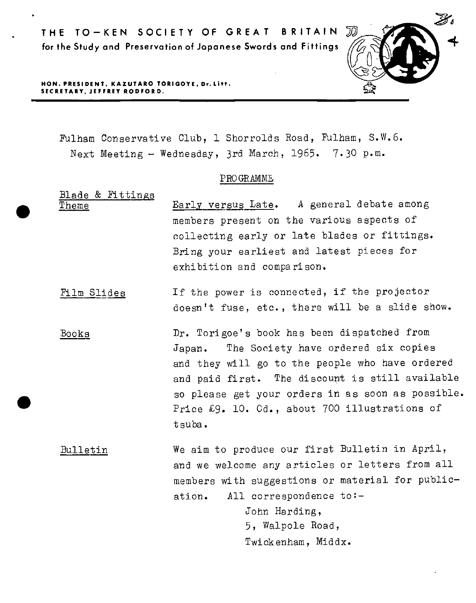

**HON. PRESIDENT, KAZUTARO TORIGOYE, Dr.Litt. SECRETARY, JEFFREY RODFORD.** 

•

•

Fulham Conservative Club, 1 Shorrolds Road, Fulham, S.W.6. Next Meeting- Wednesday, 3rd March, 1965. 7-30 p.m.

## PRO GRAMME

- Blade & Fittings Theme Early versus Late. A general debate among members present on the various aspects of collecting early or late blades or fittings. Bring your earliest and latest pieces for exhibition and comparison.
- If the power is connected, if the projector Film Slides doesn't fuse, etc., there will be a slide show.
- Books Dr. Torigoe's book has been dispatched from Japan. The Society have ordered six copies and they will go to the people who have ordered and paid first. The discount is still available so please get your orders in as soon as possible. Price £9. 10. Od., about 700 illustrations of tsuba.
- Bulletin We aim to produce our first Bulletin in April, and we welcome any articles or letters from all members with suggestions or material for publication. All correspondence to:- John Harding, 5, Walpole Road, Twickenham, Middx.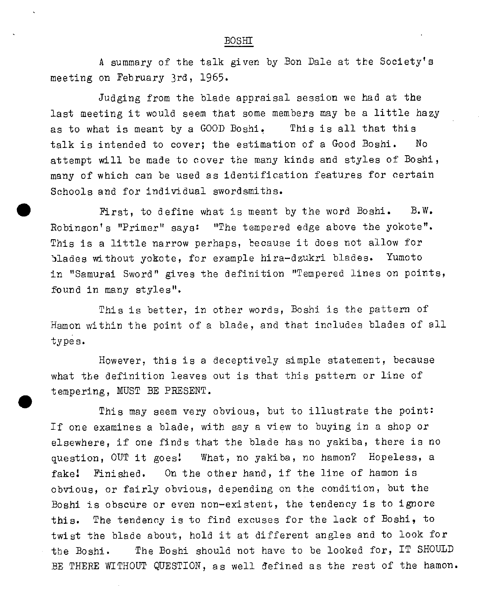A summary of the talk given by Bon Dale at the Society's meeting on February Jrd, 1965.

Judging from the blade appraisal session we had at the last meeting it would seem that some members may be a little hazy as to what is meant by a GOOD Boshi. This is all that this talk is intended to cover; the estimation of a Good Boshi. No attempt will be made to cover the many kinds and styles of Boshi, many of which can be used as identification features for certain Schools and for individual swordsmiths.

First, to define what is meant by the word Boshi. B.W. Robinson's "Primer" says: "The tempered edge above the yokote". This is a little narrow perhaps, because it does not allow for )lades without yokote, for example hira-dzukri blades. Yumoto in "Samurai Sword" gives the definition "Tempered lines on points, found in many styles".

•

•

This is better, in other words, Boshi is the pattern of Hamon within the point of a blade, and that includes blades of all types.

However, this is a deceptively simple statement, because what the definition leaves out is that this pattern or line of tempering, MUST BE PRESENT.

This may seem very obvious, but to illustrate the point: If one examines a blade, with say a view to buying in a shop or elsewhere, if one finds that the blade has no yakiba, there is no question, OUT it goes! What, no yaki ba, no hamon? Hopeless, <sup>a</sup> fake! Finished. On the other hand, if the line of hamon is obvious, or fairly obvious, depending on the condition, but the Boshi is obscure or even non-existent, the tendency is to ignore this. The tendency is to find excuses for the lack of Boshi, to twist the blade about, hold it at different angles and to look for the Boshi. The Boshi should not have to be looked for, IT SHOULD BE THERE WITHOUT QUESTION, as well defined as the rest of the hamon.

## BOSHI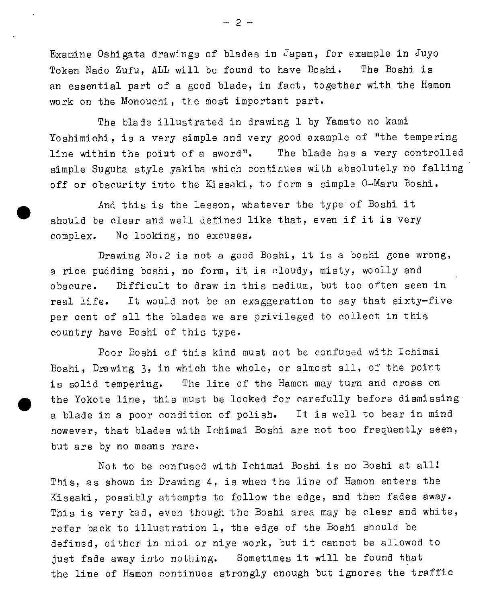Examine Oshigata drawings of blades in Japan, for example in Juyo Token Nado Zufu, ALL will be found to have Boshi. The Boshi is an essential part of a good blade, in fact, together with the Hamon work on the Monouchi, the most important part.

The blade illustrated in drawing 1 by Yamato no kami Yoshimichi, is a very simple and very good example of "the tempering line within the poirt of a sword". The blade has a very controlled simple Suguha style yakiba which continues with absolutely no falling off or obscurity into the Kissaki, to form a simple 0-Maru Boshi.

And tbis is the lesson, whatever the type of Boshi it should be clear and well defined like that, even if it is very complex. No looking, no excuses.

•

•

Drawing No.2 is not a good Boshi, it is a boshi gone wrong, a rice pudding boshi, no form, it is cloudy, misty, woolly and obscure. Difficult to draw in this medium, but too often seen in real life. It would not be an exaggeration to say that sixty-five per cent of all the blades we are privileged to collect in this country have Boshi of this type.

Poor Boshi of this kind must not be confused with Ichimai Boshi, Drawing 3, in which the whole, or almost all, of the point is solid tempering. The line of the Hamon may turn and cross on the Yokote line, this must be looked for carefully before dismissing· <sup>a</sup>blade in a poor condition of polish. It is well to bear in mind however, that blades with Ichimai Boshi are not too frequently seen, but are by no means rare.

Not to be confused with Ichimai Boshi is no Boshi at all! This, as shown in Drawing 4, is when the line of Hamon enters the Kissaki, possibly attempts to follow the edge, and then fades away. This is very bad, even though the Boshi area may be clear and white, refer back to illustration 1, the edge of the Boshi should be defined, either in nioi or niye work, but it cannot be allowed to just fade away into nothing. Sometimes it will be found that the line of Hamon continues strongly enough but ignores the traffic

- 2 -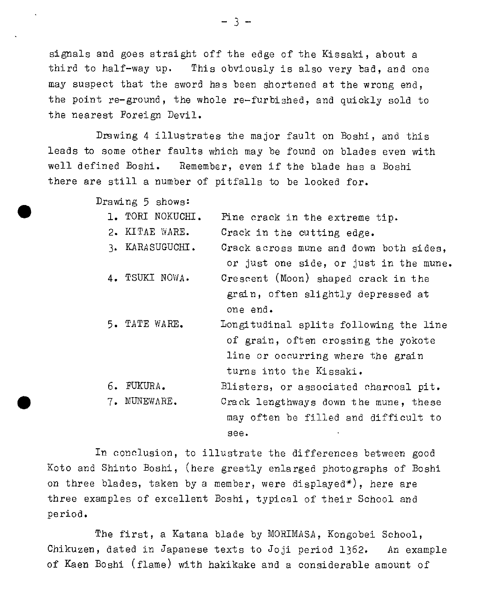signals and goes straight off the edge of the Kissaki, about <sup>a</sup> third to half-way up. This obviously is also very bad, and one may suspect that the sword has been shortened at the wrong end, the point re-ground, the whole re-furbished, and quickly sold to the nearest Foreign Devil.

Drawing 4 illustrates the major fault on Boshi, and this leads to some other faults which may be found on blades even with well defined Boshi. Remember, even if the blade has a Boshi there are still a number of pitfalls to be looked for.

Drawing 5 shows:

•

•

| 1. TORI NOKUCHI. | Fine crack in the extreme tip.         |
|------------------|----------------------------------------|
| 2. KITAE WARE.   | Crack in the cutting edge.             |
| 3. KARASUGUCHI.  | Crack across mune and down both sides, |
|                  | or just one side, or just in the mune. |
| 4. TSUKI NOWA.   | Crescent (Moon) shaped crack in the    |
|                  | grain, often slightly depressed at     |
|                  | one end.                               |
| 5. TATE WARE.    | Longitudinal splits following the line |
|                  | of grain, often crossing the yokote    |
|                  | line or occurring where the grain      |
|                  | turns into the Kissaki.                |
| 6. FUKURA.       | Blisters, or associated charcoal pit.  |
| 7. MUNEWARE.     | Crack lengthways down the mune, these  |
|                  | may often be filled and difficult to   |
|                  | see.                                   |

In conclusion, to illustrate the differences between good Koto and Shinto Boshi, (here greatly enlarged photographs of Boshi on three blades, taken by a member, were displayed\*), here are three examples of excellent Boshi, typical of their School and period.

The first, a Katana blade by MORIMASA, Kongobei School, Chikuzen, dated in Japanese texts to Joji period 1362. An example of Kaen Boshi (flame) with hakikake and a considerable amount of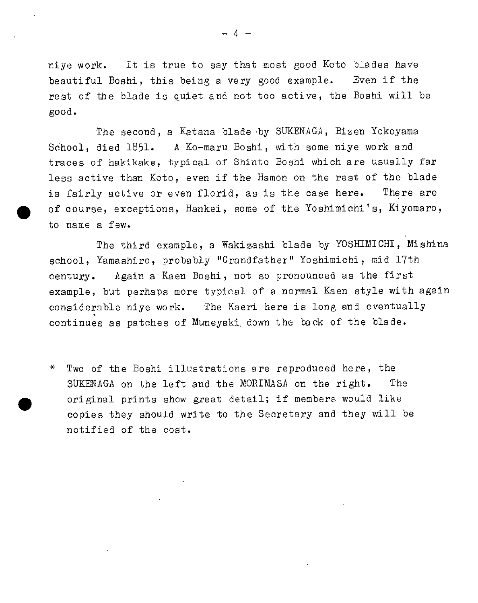niye work. It is true to say that most good Koto blades have beautiful Boshi, this being a very good example. Even if the rest of the blade is quiet and not too active, the Boshi will be good.

The second, a Katana blade by SUKENAGA, Bizen Yokoyama School, died 1851. *A* Ko-maru Boshi, with some niye work and traces of hakikake, typical of Shinto Boshi which are usually far less active than Koto, even if the Hamon on the rest of the blade is fairly active or even florid, as is the case here. There are of course, exceptions, Hankei, some of the Yoshimichi's, Kiyomaro, to name a few.

The third example, a Wakizashi blade by YOSHIMICHI, Mishina school, Yamashiro, probably "Grandfather" Yo shimichi, mid 17th century. Again a Kaen Boshi, not so pronounced as the first example, but perhaps more typical of a normal Kaen style with again considerable niye work. The Kaeri here is long and eventually continues as patches of Muneyaki down the back of the blade.

\* Two of the Boshi illustrations are reproduced here, the SUKENAGA on the left and the MORIMASA on the right. The original prints show great detail; if members would like copies they should write to the Secretary and they will be notified of the cost.

•